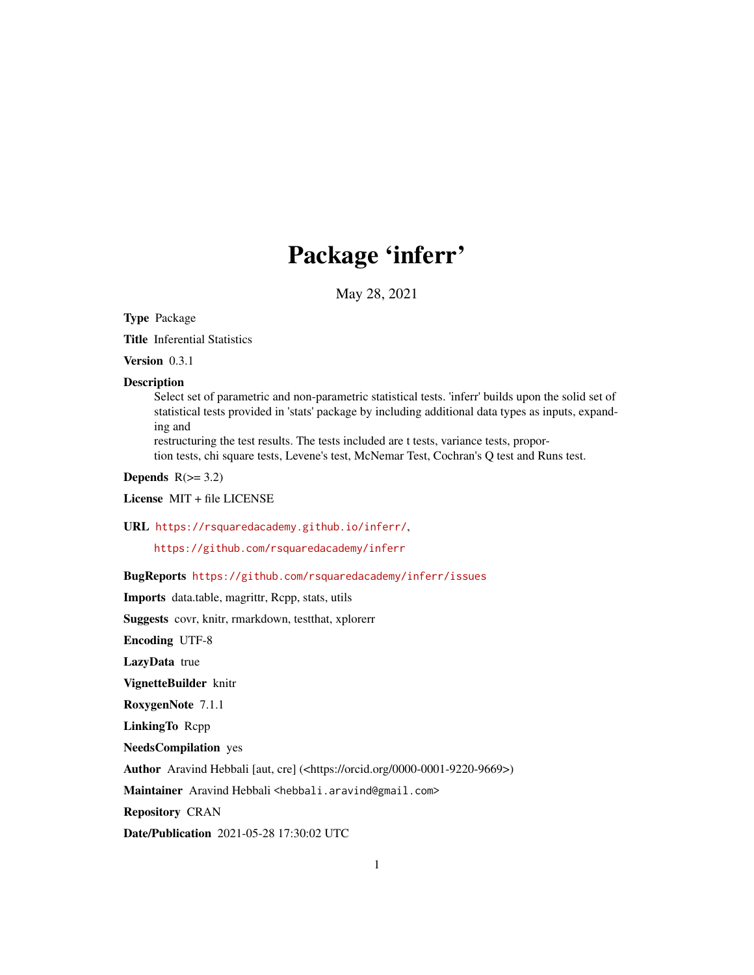# Package 'inferr'

May 28, 2021

<span id="page-0-0"></span>Type Package

Title Inferential Statistics

Version 0.3.1

#### **Description**

Select set of parametric and non-parametric statistical tests. 'inferr' builds upon the solid set of statistical tests provided in 'stats' package by including additional data types as inputs, expanding and

restructuring the test results. The tests included are t tests, variance tests, proportion tests, chi square tests, Levene's test, McNemar Test, Cochran's Q test and Runs test.

Depends  $R(>= 3.2)$ 

License MIT + file LICENSE

URL <https://rsquaredacademy.github.io/inferr/>,

<https://github.com/rsquaredacademy/inferr>

BugReports <https://github.com/rsquaredacademy/inferr/issues>

Imports data.table, magrittr, Rcpp, stats, utils

Suggests covr, knitr, rmarkdown, testthat, xplorerr

Encoding UTF-8

LazyData true

VignetteBuilder knitr

RoxygenNote 7.1.1

LinkingTo Rcpp

NeedsCompilation yes

Author Aravind Hebbali [aut, cre] (<https://orcid.org/0000-0001-9220-9669>)

Maintainer Aravind Hebbali <hebbali.aravind@gmail.com>

Repository CRAN

Date/Publication 2021-05-28 17:30:02 UTC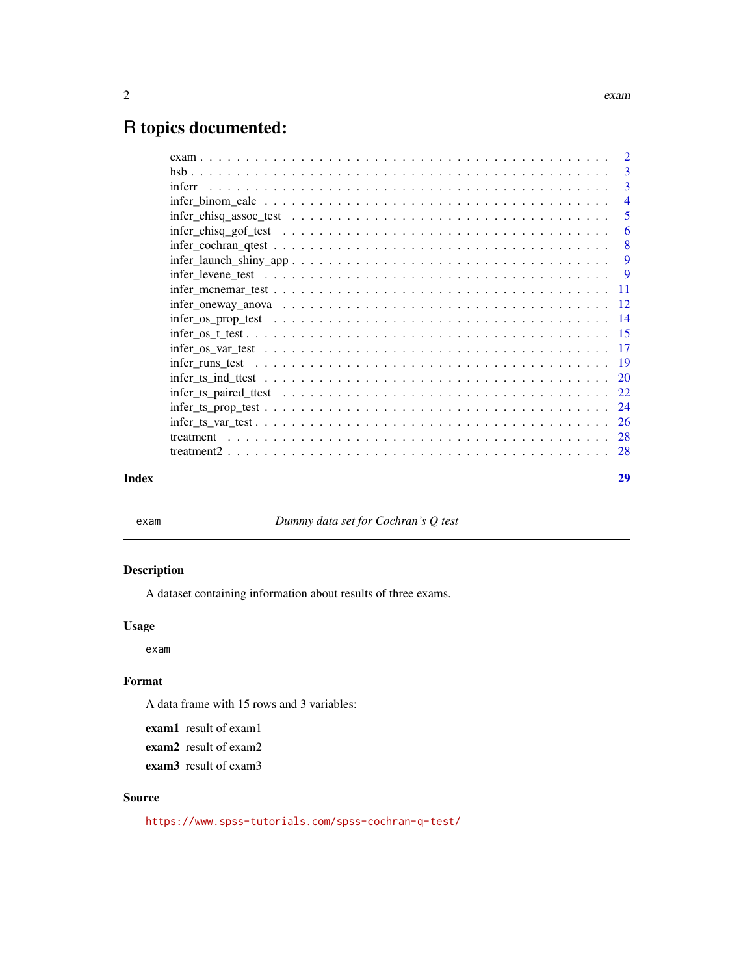## <span id="page-1-0"></span>R topics documented:

|       | $infer\_binom\_calc \dots \dots \dots \dots \dots \dots \dots \dots \dots \dots \dots \dots \dots \dots$ |    |
|-------|----------------------------------------------------------------------------------------------------------|----|
|       |                                                                                                          | -5 |
|       |                                                                                                          | -6 |
|       |                                                                                                          |    |
|       |                                                                                                          |    |
|       |                                                                                                          |    |
|       |                                                                                                          |    |
|       |                                                                                                          |    |
|       |                                                                                                          |    |
|       |                                                                                                          |    |
|       |                                                                                                          |    |
|       |                                                                                                          |    |
|       |                                                                                                          |    |
|       |                                                                                                          |    |
|       |                                                                                                          |    |
|       |                                                                                                          |    |
|       |                                                                                                          |    |
|       |                                                                                                          |    |
| Index |                                                                                                          | 29 |

exam *Dummy data set for Cochran's Q test*

#### Description

A dataset containing information about results of three exams.

#### Usage

exam

#### Format

A data frame with 15 rows and 3 variables:

exam1 result of exam1

exam2 result of exam2

exam3 result of exam3

#### Source

<https://www.spss-tutorials.com/spss-cochran-q-test/>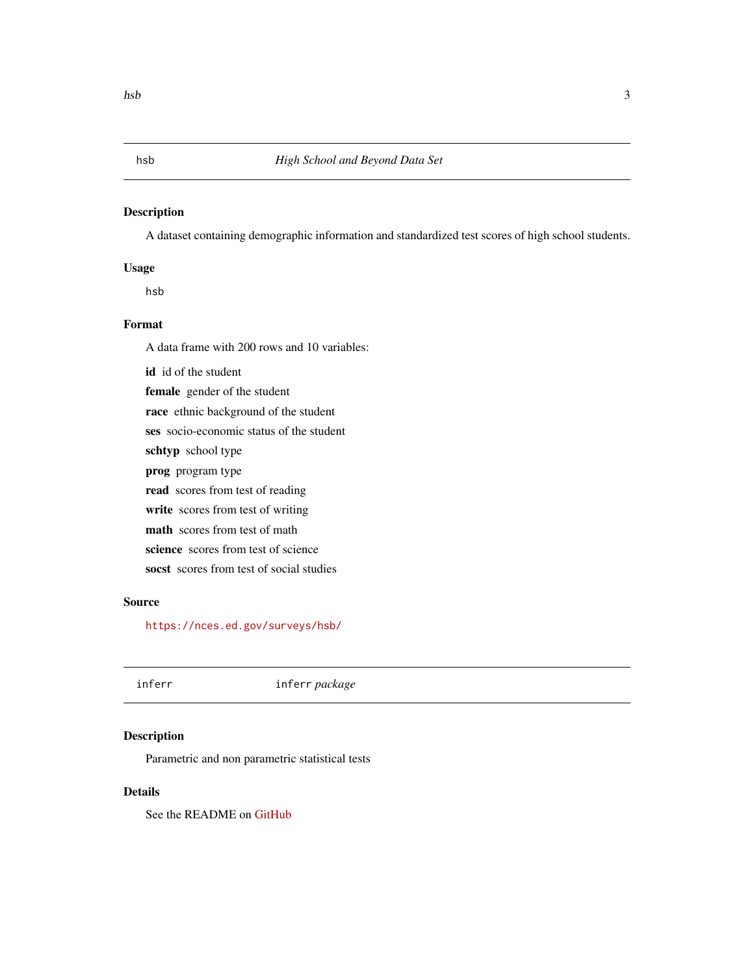#### <span id="page-2-0"></span>Description

A dataset containing demographic information and standardized test scores of high school students.

#### Usage

hsb

#### Format

A data frame with 200 rows and 10 variables:

id id of the student female gender of the student race ethnic background of the student ses socio-economic status of the student schtyp school type prog program type read scores from test of reading write scores from test of writing math scores from test of math science scores from test of science socst scores from test of social studies

#### Source

<https://nces.ed.gov/surveys/hsb/>

## inferr inferr *package*

#### Description

Parametric and non parametric statistical tests

#### Details

See the README on [GitHub](https://github.com/rsquaredacademy/inferr)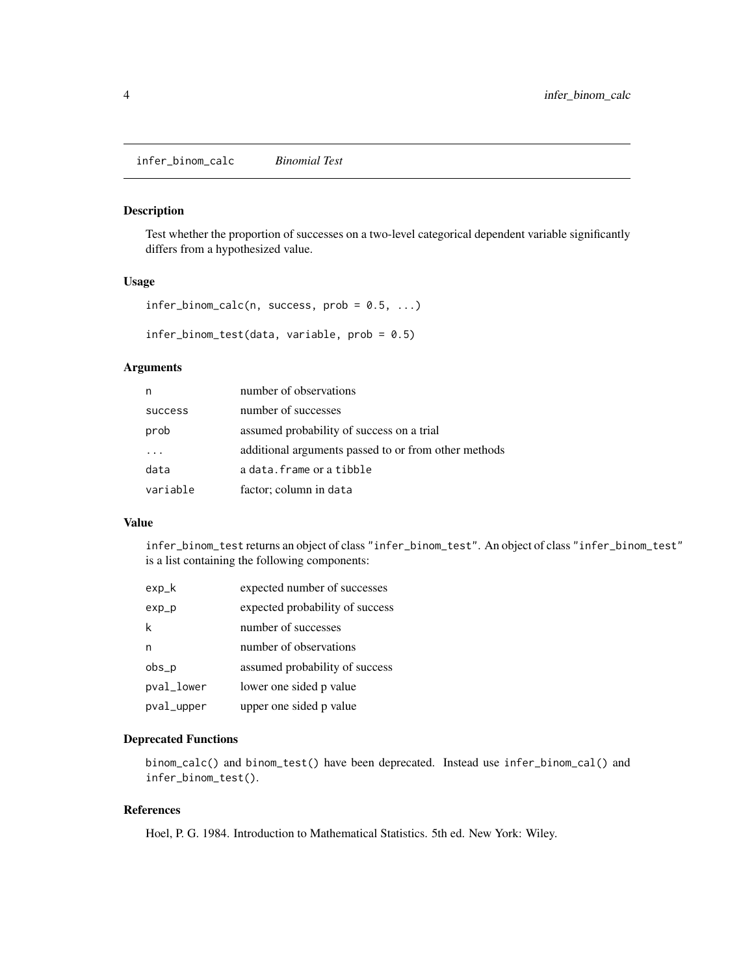<span id="page-3-0"></span>infer\_binom\_calc *Binomial Test*

#### Description

Test whether the proportion of successes on a two-level categorical dependent variable significantly differs from a hypothesized value.

#### Usage

```
infer\_binom\_calc(n, success, prob = 0.5, ...)
```

```
infer_binom_test(data, variable, prob = 0.5)
```
#### Arguments

| n              | number of observations                               |
|----------------|------------------------------------------------------|
| <b>SUCCESS</b> | number of successes                                  |
| prob           | assumed probability of success on a trial            |
|                | additional arguments passed to or from other methods |
| data           | a data.frame or a tibble                             |
| variable       | factor; column in data                               |

#### Value

infer\_binom\_test returns an object of class "infer\_binom\_test". An object of class "infer\_binom\_test" is a list containing the following components:

| $exp_k$    | expected number of successes    |
|------------|---------------------------------|
| $exp_p$    | expected probability of success |
| k          | number of successes             |
| n          | number of observations          |
| $obs_p$    | assumed probability of success  |
| pval_lower | lower one sided p value         |
| pval_upper | upper one sided p value         |

#### Deprecated Functions

```
binom_calc() and binom_test() have been deprecated. Instead use infer_binom_cal() and
infer_binom_test().
```
#### References

Hoel, P. G. 1984. Introduction to Mathematical Statistics. 5th ed. New York: Wiley.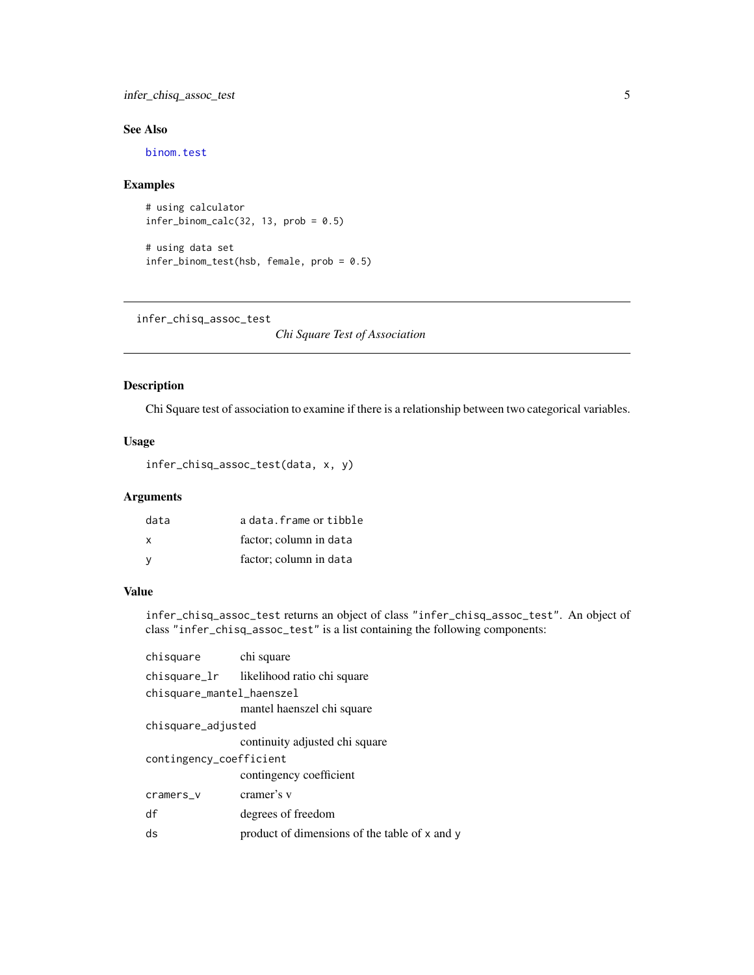#### <span id="page-4-0"></span>infer\_chisq\_assoc\_test 5

#### See Also

[binom.test](#page-0-0)

#### Examples

# using calculator  $infer\_binom\_calc(32, 13, prob = 0.5)$ 

# using data set infer\_binom\_test(hsb, female, prob = 0.5)

infer\_chisq\_assoc\_test

*Chi Square Test of Association*

#### Description

Chi Square test of association to examine if there is a relationship between two categorical variables.

#### Usage

infer\_chisq\_assoc\_test(data, x, y)

#### Arguments

| data | a data. frame or tibble |
|------|-------------------------|
| X    | factor: column in data  |
|      | factor; column in data  |

#### Value

infer\_chisq\_assoc\_test returns an object of class "infer\_chisq\_assoc\_test". An object of class "infer\_chisq\_assoc\_test" is a list containing the following components:

| chisquare                 | chi square                                    |  |
|---------------------------|-----------------------------------------------|--|
|                           | chisquare_lr likelihood ratio chi square      |  |
| chisquare_mantel_haenszel |                                               |  |
|                           | mantel haenszel chi square                    |  |
| chisquare_adjusted        |                                               |  |
|                           | continuity adjusted chi square                |  |
| contingency_coefficient   |                                               |  |
|                           | contingency coefficient                       |  |
| cramers_v                 | cramer's v                                    |  |
| df                        | degrees of freedom                            |  |
| ds                        | product of dimensions of the table of x and y |  |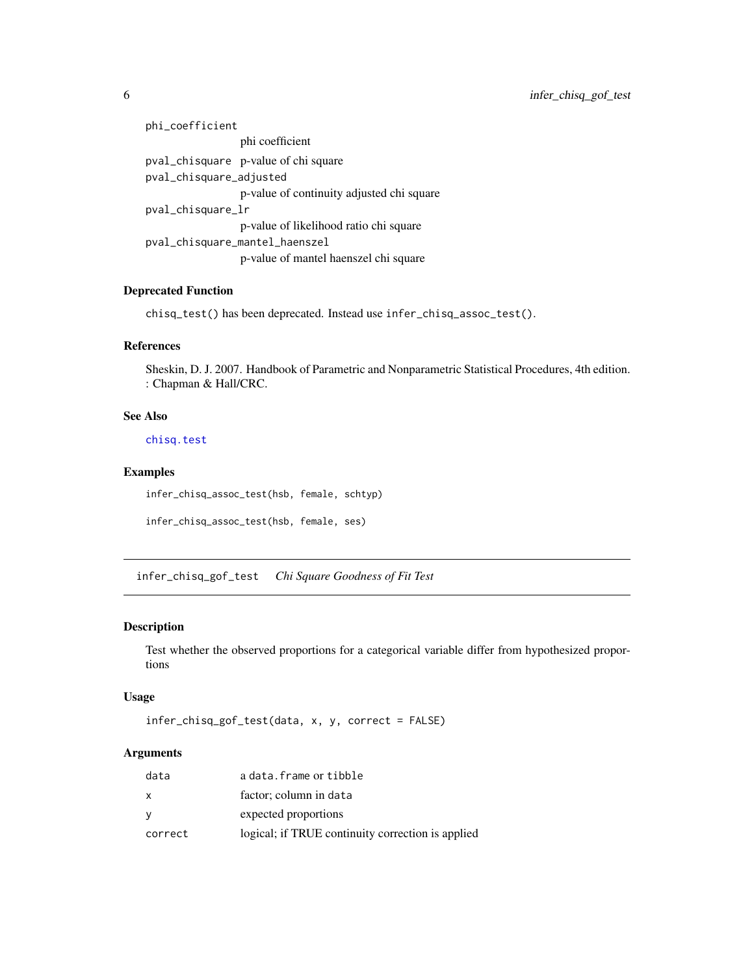| phi_coefficient                           |  |
|-------------------------------------------|--|
| phi coefficient                           |  |
| pval_chisquare p-value of chi square      |  |
| pval_chisquare_adjusted                   |  |
| p-value of continuity adjusted chi square |  |
| pval_chisquare_lr                         |  |
| p-value of likelihood ratio chi square    |  |
| pval_chisquare_mantel_haenszel            |  |
| p-value of mantel haenszel chi square     |  |

#### Deprecated Function

chisq\_test() has been deprecated. Instead use infer\_chisq\_assoc\_test().

#### References

Sheskin, D. J. 2007. Handbook of Parametric and Nonparametric Statistical Procedures, 4th edition. : Chapman & Hall/CRC.

#### See Also

[chisq.test](#page-0-0)

#### Examples

infer\_chisq\_assoc\_test(hsb, female, schtyp)

```
infer_chisq_assoc_test(hsb, female, ses)
```
infer\_chisq\_gof\_test *Chi Square Goodness of Fit Test*

#### Description

Test whether the observed proportions for a categorical variable differ from hypothesized proportions

#### Usage

```
infer_chisq_gof_test(data, x, y, correct = FALSE)
```
#### Arguments

| data    | a data. frame or tibble                           |
|---------|---------------------------------------------------|
| X       | factor; column in data                            |
| y       | expected proportions                              |
| correct | logical; if TRUE continuity correction is applied |

<span id="page-5-0"></span>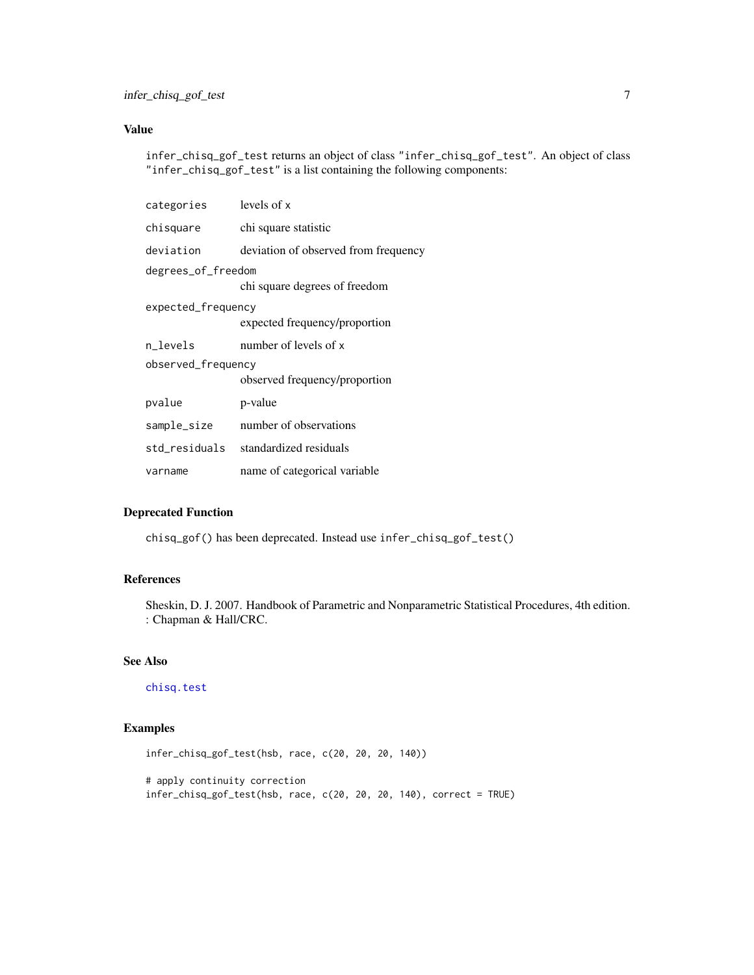#### <span id="page-6-0"></span>Value

infer\_chisq\_gof\_test returns an object of class "infer\_chisq\_gof\_test". An object of class "infer\_chisq\_gof\_test" is a list containing the following components:

| categories         | levels of x                          |  |
|--------------------|--------------------------------------|--|
| chisquare          | chi square statistic                 |  |
| deviation          | deviation of observed from frequency |  |
| degrees_of_freedom |                                      |  |
|                    | chi square degrees of freedom        |  |
| expected_frequency |                                      |  |
|                    | expected frequency/proportion        |  |
| n levels           | number of levels of x                |  |
| observed_frequency |                                      |  |
|                    | observed frequency/proportion        |  |
| pvalue             | p-value                              |  |
| sample_size        | number of observations               |  |
| std residuals      | standardized residuals               |  |
| varname            | name of categorical variable         |  |

#### Deprecated Function

chisq\_gof() has been deprecated. Instead use infer\_chisq\_gof\_test()

#### References

Sheskin, D. J. 2007. Handbook of Parametric and Nonparametric Statistical Procedures, 4th edition. : Chapman & Hall/CRC.

#### See Also

[chisq.test](#page-0-0)

### Examples

```
infer_chisq_gof_test(hsb, race, c(20, 20, 20, 140))
# apply continuity correction
infer_chisq_gof_test(hsb, race, c(20, 20, 20, 140), correct = TRUE)
```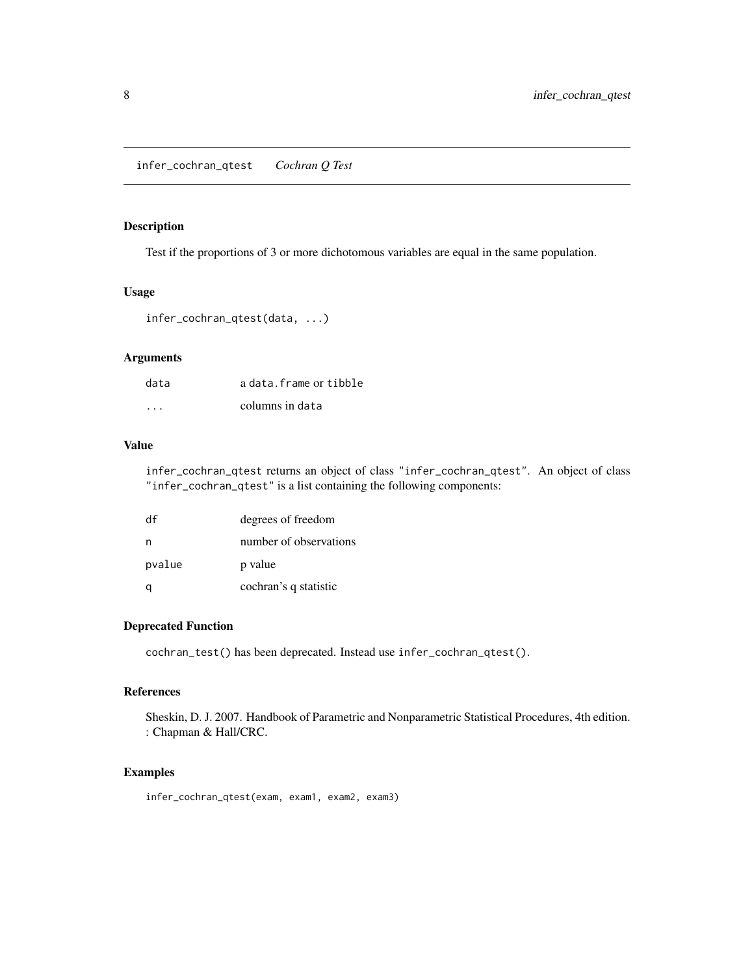#### <span id="page-7-0"></span>Description

Test if the proportions of 3 or more dichotomous variables are equal in the same population.

#### Usage

```
infer_cochran_qtest(data, ...)
```
#### Arguments

| data    | a data. frame or tibble |
|---------|-------------------------|
| $\cdot$ | columns in data         |

#### Value

infer\_cochran\_qtest returns an object of class "infer\_cochran\_qtest". An object of class "infer\_cochran\_qtest" is a list containing the following components:

| df     | degrees of freedom     |
|--------|------------------------|
| n      | number of observations |
| pvalue | p value                |
|        | cochran's q statistic  |

#### Deprecated Function

cochran\_test() has been deprecated. Instead use infer\_cochran\_qtest().

#### References

Sheskin, D. J. 2007. Handbook of Parametric and Nonparametric Statistical Procedures, 4th edition. : Chapman & Hall/CRC.

#### Examples

infer\_cochran\_qtest(exam, exam1, exam2, exam3)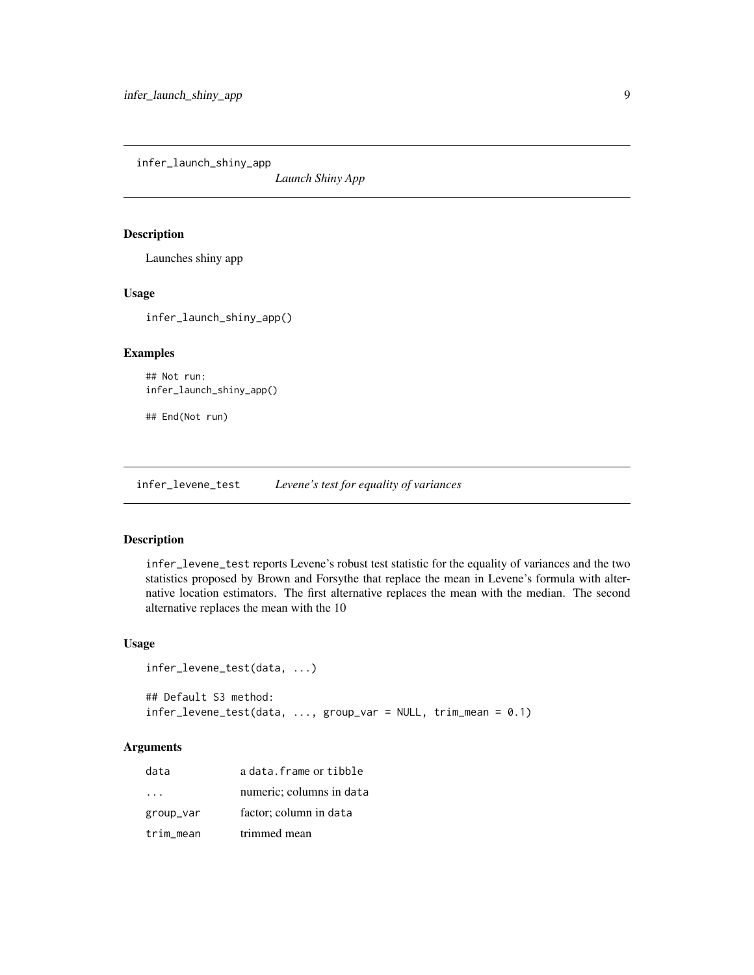<span id="page-8-0"></span>infer\_launch\_shiny\_app

*Launch Shiny App*

#### Description

Launches shiny app

#### Usage

infer\_launch\_shiny\_app()

#### Examples

## Not run: infer\_launch\_shiny\_app()

## End(Not run)

infer\_levene\_test *Levene's test for equality of variances*

#### Description

infer\_levene\_test reports Levene's robust test statistic for the equality of variances and the two statistics proposed by Brown and Forsythe that replace the mean in Levene's formula with alternative location estimators. The first alternative replaces the mean with the median. The second alternative replaces the mean with the 10

#### Usage

```
infer_levene_test(data, ...)
## Default S3 method:
infer_levene_test(data, ..., group_var = NULL, trim_mean = 0.1)
```
#### Arguments

| data      | a data. frame or tibble  |
|-----------|--------------------------|
|           | numeric; columns in data |
| group_var | factor; column in data   |
| trim mean | trimmed mean             |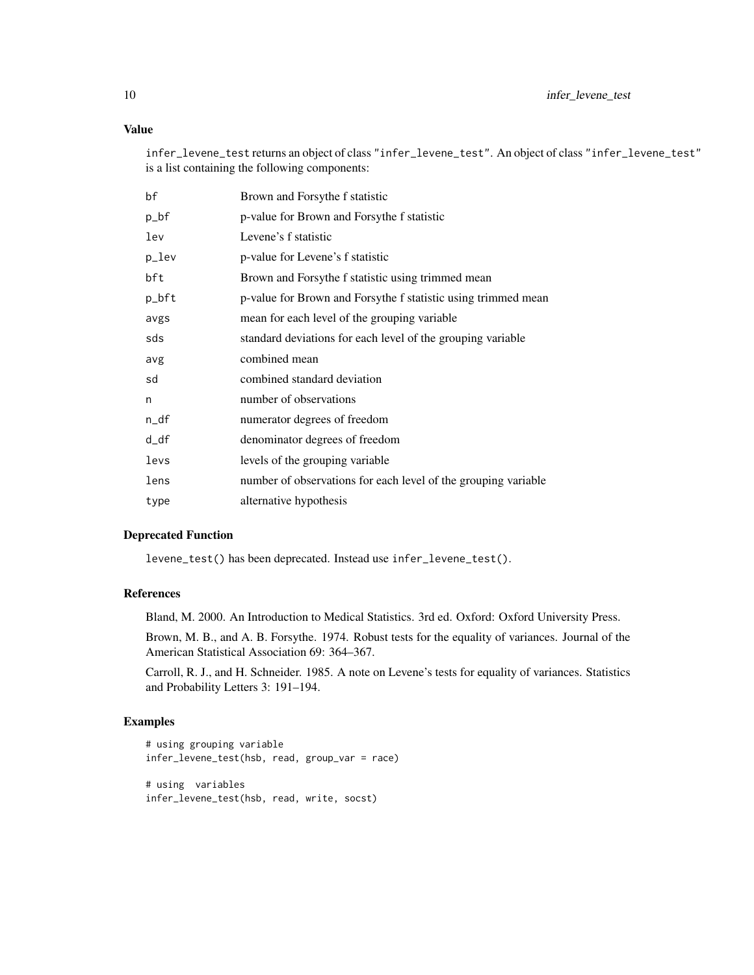#### Value

infer\_levene\_test returns an object of class "infer\_levene\_test". An object of class "infer\_levene\_test" is a list containing the following components:

| bf    | Brown and Forsythe f statistic                                 |
|-------|----------------------------------------------------------------|
| p_bf  | p-value for Brown and Forsythe f statistic                     |
| lev   | Levene's f statistic                                           |
| p_lev | p-value for Levene's f statistic                               |
| bft   | Brown and Forsythe f statistic using trimmed mean              |
| p_bft | p-value for Brown and Forsythe f statistic using trimmed mean  |
| avgs  | mean for each level of the grouping variable                   |
| sds   | standard deviations for each level of the grouping variable    |
| avg   | combined mean                                                  |
| sd    | combined standard deviation                                    |
| n     | number of observations                                         |
| n_df  | numerator degrees of freedom                                   |
| d_df  | denominator degrees of freedom                                 |
| levs  | levels of the grouping variable                                |
| lens  | number of observations for each level of the grouping variable |
| type  | alternative hypothesis                                         |

#### Deprecated Function

levene\_test() has been deprecated. Instead use infer\_levene\_test().

#### References

Bland, M. 2000. An Introduction to Medical Statistics. 3rd ed. Oxford: Oxford University Press.

Brown, M. B., and A. B. Forsythe. 1974. Robust tests for the equality of variances. Journal of the American Statistical Association 69: 364–367.

Carroll, R. J., and H. Schneider. 1985. A note on Levene's tests for equality of variances. Statistics and Probability Letters 3: 191–194.

#### Examples

```
# using grouping variable
infer_levene_test(hsb, read, group_var = race)
# using variables
infer_levene_test(hsb, read, write, socst)
```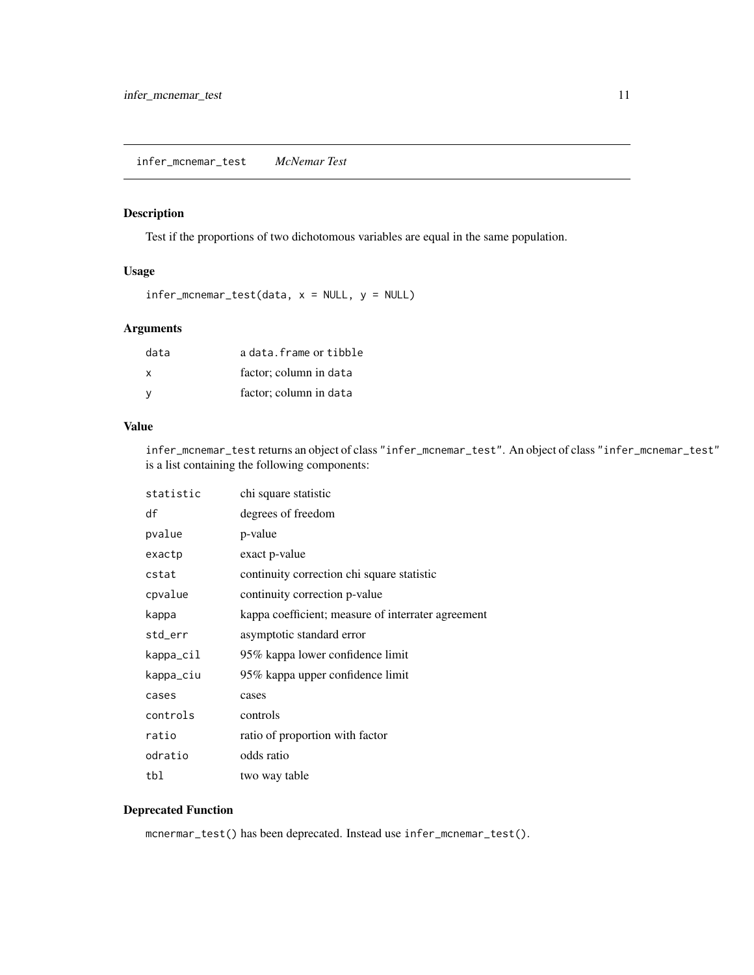<span id="page-10-0"></span>infer\_mcnemar\_test *McNemar Test*

#### Description

Test if the proportions of two dichotomous variables are equal in the same population.

#### Usage

 $infer\_mcnemar_test(data, x = NULL, y = NULL)$ 

#### Arguments

| data | a data. frame or tibble |
|------|-------------------------|
| x    | factor; column in data  |
|      | factor; column in data  |

#### Value

infer\_mcnemar\_test returns an object of class "infer\_mcnemar\_test". An object of class "infer\_mcnemar\_test" is a list containing the following components:

| statistic | chi square statistic                               |
|-----------|----------------------------------------------------|
| df        | degrees of freedom                                 |
| pvalue    | p-value                                            |
| exactp    | exact p-value                                      |
| cstat     | continuity correction chi square statistic         |
| cpvalue   | continuity correction p-value                      |
| kappa     | kappa coefficient; measure of interrater agreement |
| std_err   | asymptotic standard error                          |
| kappa_cil | 95% kappa lower confidence limit                   |
| kappa_ciu | 95% kappa upper confidence limit                   |
| cases     | cases                                              |
| controls  | controls                                           |
| ratio     | ratio of proportion with factor                    |
| odratio   | odds ratio                                         |
| tbl       | two way table                                      |

#### Deprecated Function

mcnermar\_test() has been deprecated. Instead use infer\_mcnemar\_test().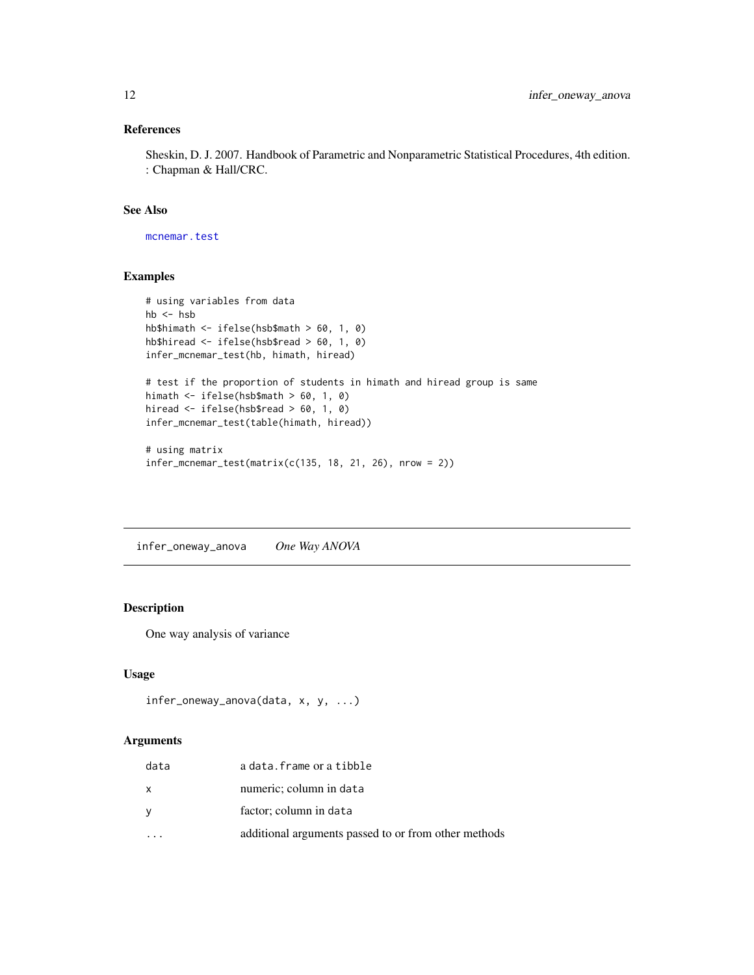#### <span id="page-11-0"></span>References

Sheskin, D. J. 2007. Handbook of Parametric and Nonparametric Statistical Procedures, 4th edition. : Chapman & Hall/CRC.

#### See Also

[mcnemar.test](#page-0-0)

#### Examples

```
# using variables from data
hb \leq hsbhb$himath <- ifelse(hsb$math > 60, 1, 0)
hb$hiread <- ifelse(hsb$read > 60, 1, 0)
infer_mcnemar_test(hb, himath, hiread)
# test if the proportion of students in himath and hiread group is same
himath <- ifelse(hsb$math > 60, 1, 0)
hiread <- ifelse(hsb$read > 60, 1, 0)
infer_mcnemar_test(table(himath, hiread))
# using matrix
infer_mcnemar_test(matrix(c(135, 18, 21, 26), nrow = 2))
```
infer\_oneway\_anova *One Way ANOVA*

#### Description

One way analysis of variance

#### Usage

```
infer_oneway_anova(data, x, y, ...)
```
#### Arguments

| data     | a data. frame or a tibble                            |
|----------|------------------------------------------------------|
| X        | numeric; column in data                              |
| <b>V</b> | factor; column in data                               |
|          | additional arguments passed to or from other methods |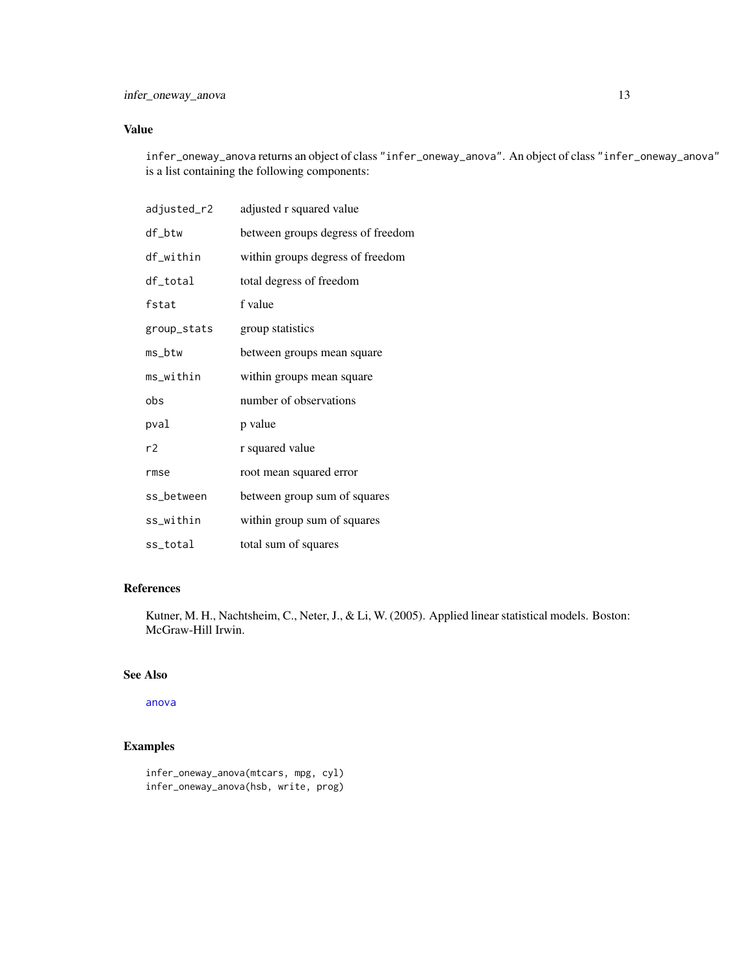#### <span id="page-12-0"></span>Value

infer\_oneway\_anova returns an object of class "infer\_oneway\_anova". An object of class "infer\_oneway\_anova" is a list containing the following components:

| adjusted_r2 | adjusted r squared value          |
|-------------|-----------------------------------|
| df_btw      | between groups degress of freedom |
| df_within   | within groups degress of freedom  |
| df_total    | total degress of freedom          |
| fstat       | f value                           |
| group_stats | group statistics                  |
| ms_btw      | between groups mean square        |
| ms_within   | within groups mean square         |
| obs         | number of observations            |
| pval        | p value                           |
| r2          | r squared value                   |
| rmse        | root mean squared error           |
| ss_between  | between group sum of squares      |
| ss_within   | within group sum of squares       |
| ss_total    | total sum of squares              |

#### References

Kutner, M. H., Nachtsheim, C., Neter, J., & Li, W. (2005). Applied linear statistical models. Boston: McGraw-Hill Irwin.

#### See Also

[anova](#page-0-0)

#### Examples

```
infer_oneway_anova(mtcars, mpg, cyl)
infer_oneway_anova(hsb, write, prog)
```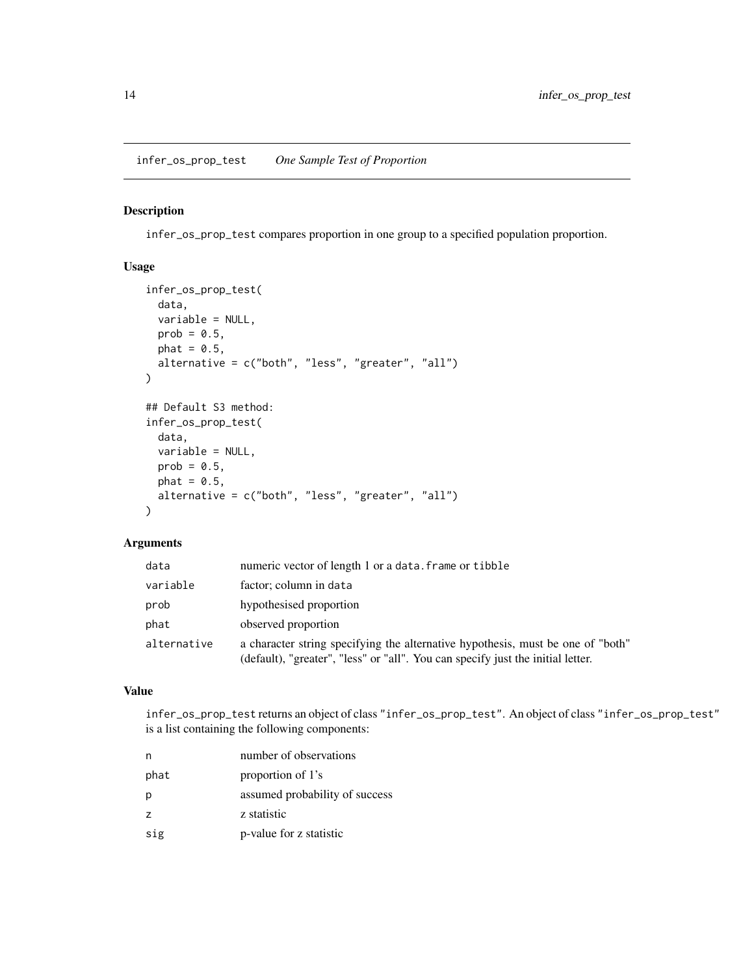#### <span id="page-13-0"></span>Description

infer\_os\_prop\_test compares proportion in one group to a specified population proportion.

#### Usage

```
infer_os_prop_test(
  data,
 variable = NULL,
 prob = 0.5,
 phat = 0.5,
 alternative = c("both", "less", "greater", "all")
)
## Default S3 method:
infer_os_prop_test(
 data,
 variable = NULL,
 prob = 0.5,
 phat = 0.5,
  alternative = c("both", "less", "greater", "all")
\mathcal{L}
```
#### Arguments

| data        | numeric vector of length 1 or a data. frame or tibble                                                                                                              |
|-------------|--------------------------------------------------------------------------------------------------------------------------------------------------------------------|
| variable    | factor; column in data                                                                                                                                             |
| prob        | hypothesised proportion                                                                                                                                            |
| phat        | observed proportion                                                                                                                                                |
| alternative | a character string specifying the alternative hypothesis, must be one of "both"<br>(default), "greater", "less" or "all". You can specify just the initial letter. |

#### Value

infer\_os\_prop\_test returns an object of class "infer\_os\_prop\_test". An object of class "infer\_os\_prop\_test" is a list containing the following components:

|                | number of observations         |
|----------------|--------------------------------|
| phat           | proportion of 1's              |
| р              | assumed probability of success |
| $\overline{z}$ | z statistic                    |
| sig            | p-value for z statistic        |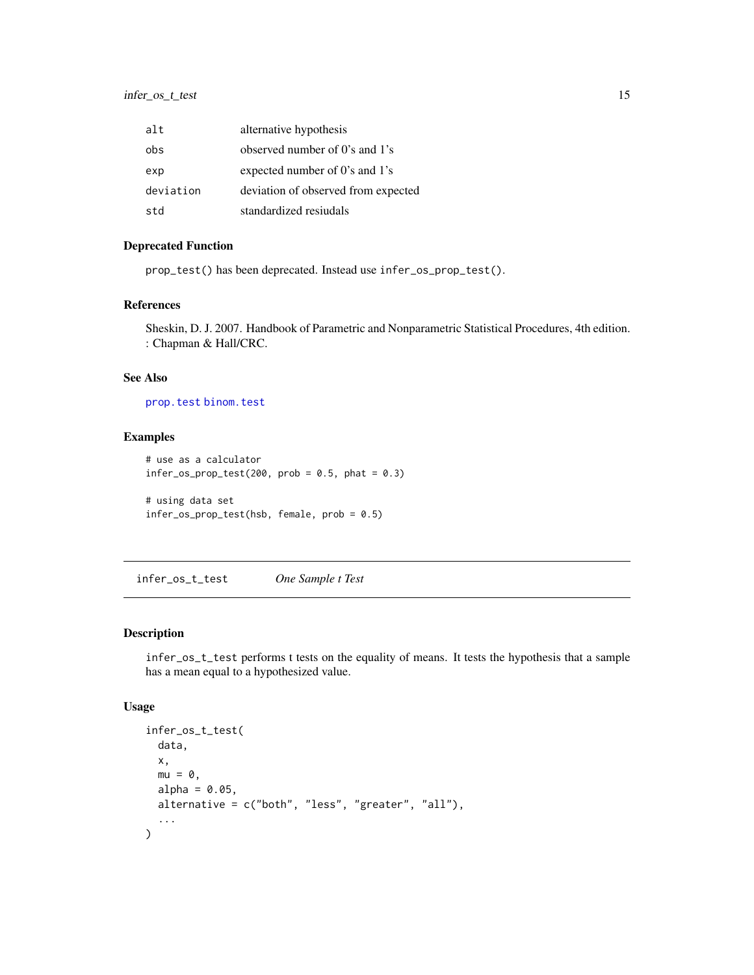<span id="page-14-0"></span>

| alt       | alternative hypothesis              |
|-----------|-------------------------------------|
| obs       | observed number of 0's and 1's      |
| exp       | expected number of 0's and 1's      |
| deviation | deviation of observed from expected |
| ht2       | standardized resiudals              |

#### Deprecated Function

prop\_test() has been deprecated. Instead use infer\_os\_prop\_test().

#### References

Sheskin, D. J. 2007. Handbook of Parametric and Nonparametric Statistical Procedures, 4th edition. : Chapman & Hall/CRC.

#### See Also

[prop.test](#page-0-0) [binom.test](#page-0-0)

#### Examples

```
# use as a calculator
infer\_os\_prop\_test(200, prob = 0.5, phat = 0.3)# using data set
infer_os_prop_test(hsb, female, prob = 0.5)
```
infer\_os\_t\_test *One Sample t Test*

#### Description

infer\_os\_t\_test performs t tests on the equality of means. It tests the hypothesis that a sample has a mean equal to a hypothesized value.

#### Usage

```
infer_os_t_test(
  data,
  x,
 mu = 0,
 alpha = 0.05,
 alternative = c("both", "less", "greater", "all"),
  ...
\mathcal{L}
```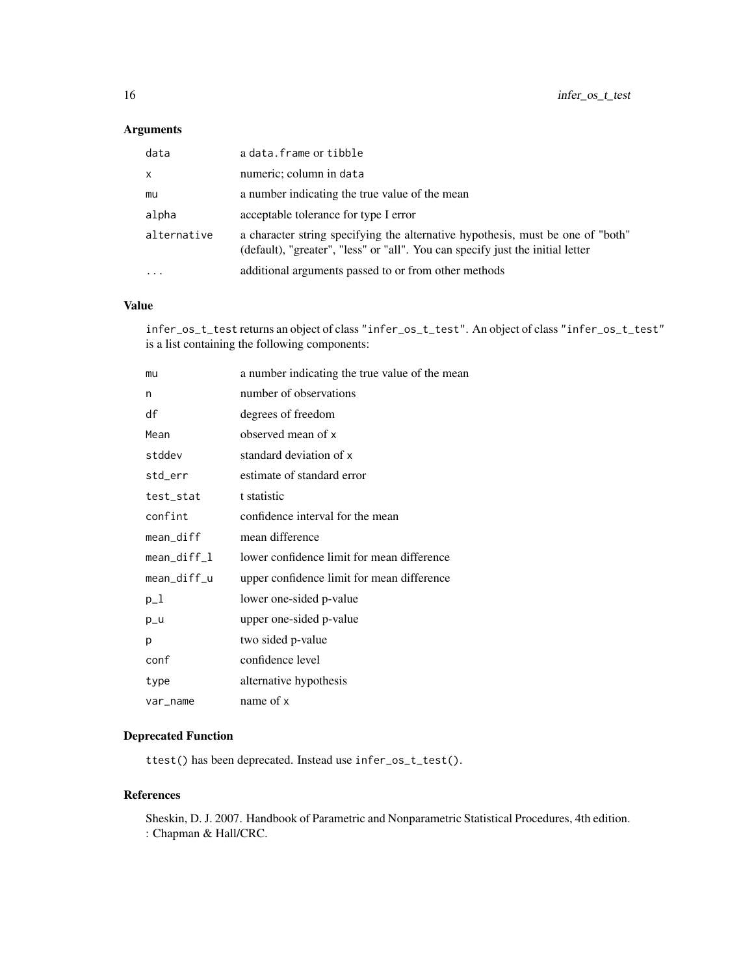#### Arguments

| data                    | a data. frame or tibble                                                                                                                                           |
|-------------------------|-------------------------------------------------------------------------------------------------------------------------------------------------------------------|
| $\times$                | numeric; column in data                                                                                                                                           |
| mu                      | a number indicating the true value of the mean                                                                                                                    |
| alpha                   | acceptable tolerance for type I error                                                                                                                             |
| alternative             | a character string specifying the alternative hypothesis, must be one of "both"<br>(default), "greater", "less" or "all". You can specify just the initial letter |
| $\cdot$ $\cdot$ $\cdot$ | additional arguments passed to or from other methods                                                                                                              |

#### Value

infer\_os\_t\_test returns an object of class "infer\_os\_t\_test". An object of class "infer\_os\_t\_test" is a list containing the following components:

| mu          | a number indicating the true value of the mean |
|-------------|------------------------------------------------|
| n           | number of observations                         |
| df          | degrees of freedom                             |
| Mean        | observed mean of x                             |
| stddev      | standard deviation of x                        |
| std_err     | estimate of standard error                     |
| test_stat   | t statistic                                    |
| confint     | confidence interval for the mean               |
| mean_diff   | mean difference                                |
| mean_diff_l | lower confidence limit for mean difference     |
| mean_diff_u | upper confidence limit for mean difference     |
| $p_1$       | lower one-sided p-value                        |
| $p_u$       | upper one-sided p-value                        |
| p           | two sided p-value                              |
| conf        | confidence level                               |
| type        | alternative hypothesis                         |
| var_name    | name of x                                      |

#### Deprecated Function

ttest() has been deprecated. Instead use infer\_os\_t\_test().

#### References

Sheskin, D. J. 2007. Handbook of Parametric and Nonparametric Statistical Procedures, 4th edition. : Chapman & Hall/CRC.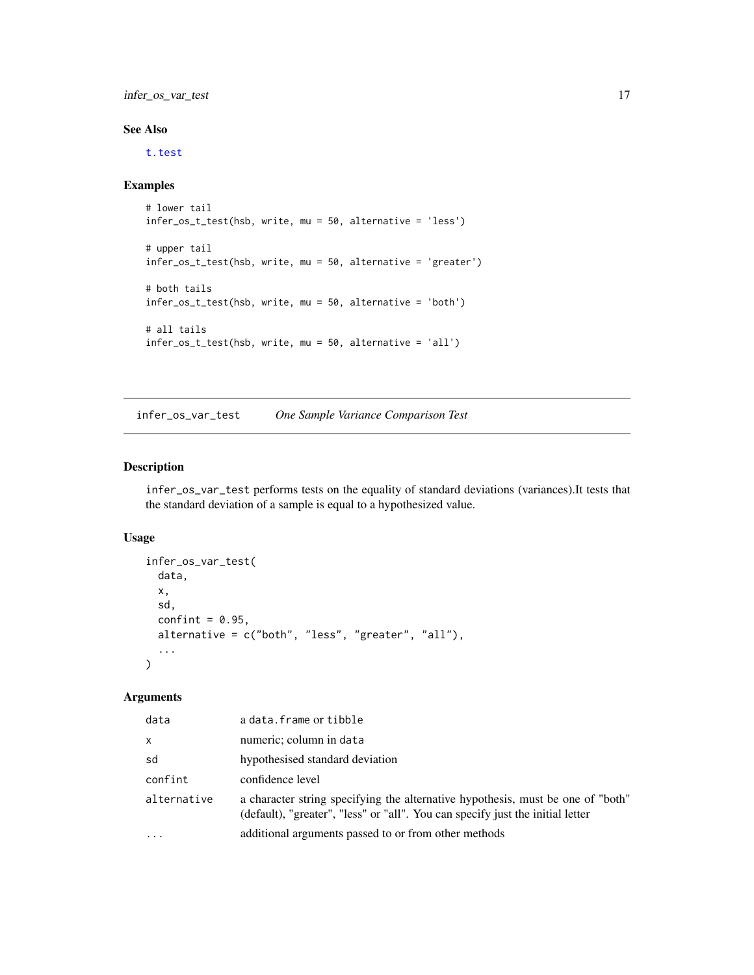<span id="page-16-0"></span>infer\_os\_var\_test 17

#### See Also

[t.test](#page-0-0)

#### Examples

```
# lower tail
infer_os_t_test(hsb, write, mu = 50, alternative = 'less')
# upper tail
infer_os_t_test(hsb, write, mu = 50, alternative = 'greater')
# both tails
infer_os_t_test(hsb, write, mu = 50, alternative = 'both')
# all tails
infer_os_t_test(hsb, write, mu = 50, alternative = 'all')
```
infer\_os\_var\_test *One Sample Variance Comparison Test*

#### Description

infer\_os\_var\_test performs tests on the equality of standard deviations (variances).It tests that the standard deviation of a sample is equal to a hypothesized value.

#### Usage

```
infer_os_var_test(
 data,
  x,
  sd,
  confint = 0.95,
  alternative = c("both", "less", "greater", "all"),
  ...
)
```
#### Arguments

| data         | a data. frame or tibble                                                                                                                                           |
|--------------|-------------------------------------------------------------------------------------------------------------------------------------------------------------------|
| $\mathsf{x}$ | numeric; column in data                                                                                                                                           |
| sd           | hypothesised standard deviation                                                                                                                                   |
| confint      | confidence level                                                                                                                                                  |
| alternative  | a character string specifying the alternative hypothesis, must be one of "both"<br>(default), "greater", "less" or "all". You can specify just the initial letter |
|              | additional arguments passed to or from other methods                                                                                                              |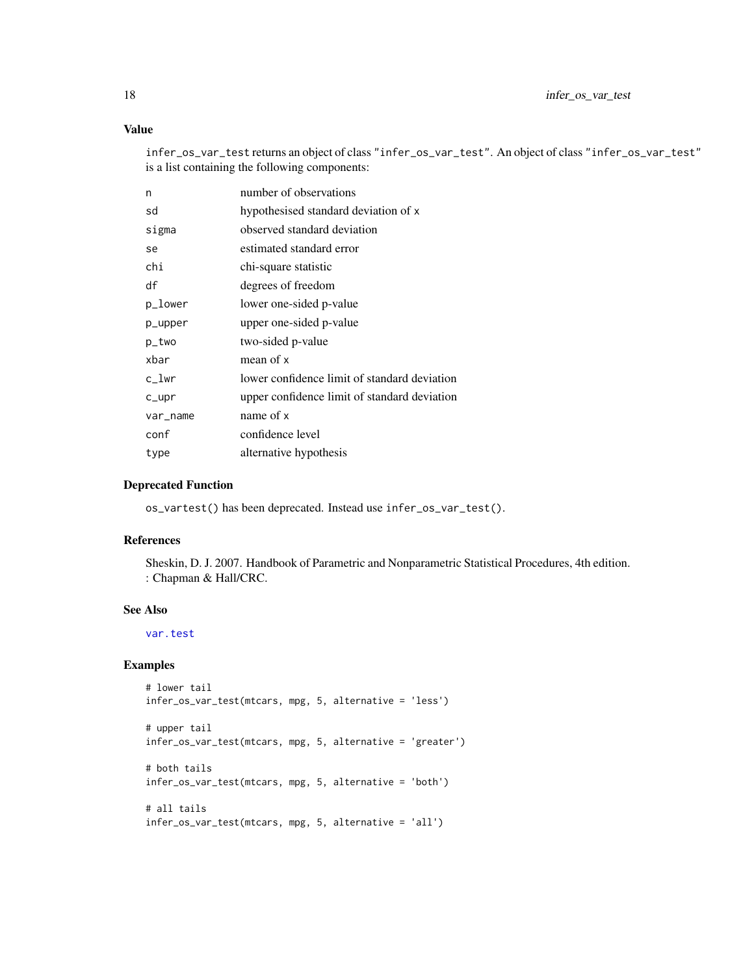#### Value

infer\_os\_var\_test returns an object of class "infer\_os\_var\_test". An object of class "infer\_os\_var\_test" is a list containing the following components:

| n        | number of observations                       |
|----------|----------------------------------------------|
| sd       | hypothesised standard deviation of x         |
| sigma    | observed standard deviation                  |
| se       | estimated standard error                     |
| chi      | chi-square statistic                         |
| df       | degrees of freedom                           |
| p_lower  | lower one-sided p-value                      |
| p_upper  | upper one-sided p-value                      |
| p_two    | two-sided p-value                            |
| xbar     | mean of x                                    |
| c_lwr    | lower confidence limit of standard deviation |
| $c$ _upr | upper confidence limit of standard deviation |
| var_name | name of x                                    |
| conf     | confidence level                             |
| type     | alternative hypothesis                       |

#### Deprecated Function

os\_vartest() has been deprecated. Instead use infer\_os\_var\_test().

#### References

Sheskin, D. J. 2007. Handbook of Parametric and Nonparametric Statistical Procedures, 4th edition. : Chapman & Hall/CRC.

#### See Also

[var.test](#page-0-0)

#### Examples

```
# lower tail
infer_os_var_test(mtcars, mpg, 5, alternative = 'less')
# upper tail
infer_os_var_test(mtcars, mpg, 5, alternative = 'greater')
# both tails
infer_os_var_test(mtcars, mpg, 5, alternative = 'both')
# all tails
infer_os_var_test(mtcars, mpg, 5, alternative = 'all')
```
<span id="page-17-0"></span>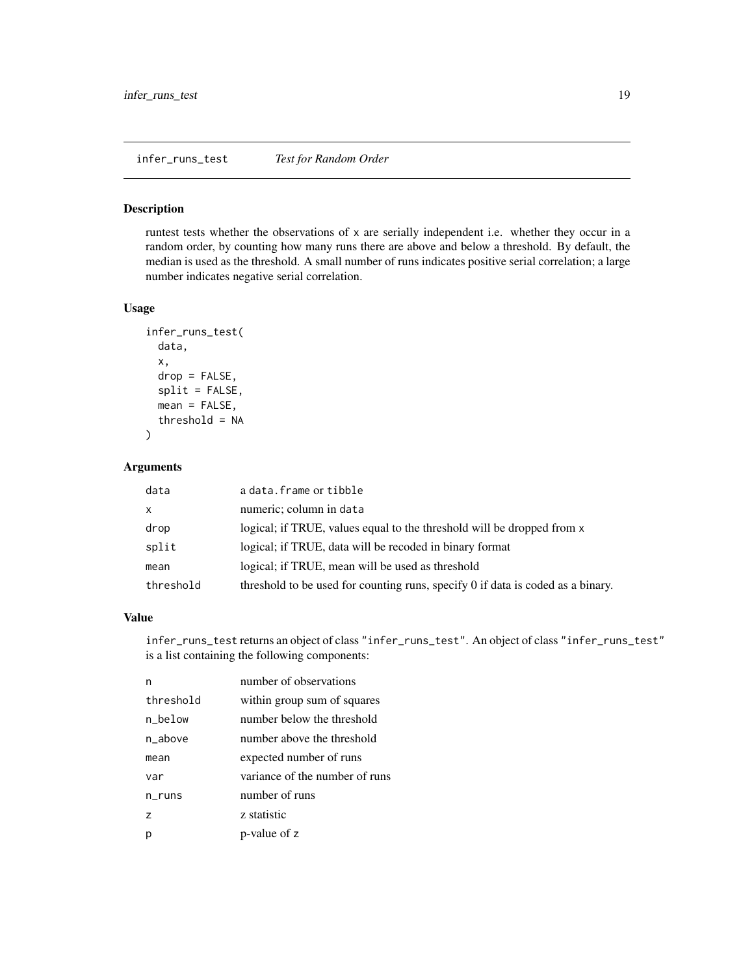#### <span id="page-18-0"></span>Description

runtest tests whether the observations of x are serially independent i.e. whether they occur in a random order, by counting how many runs there are above and below a threshold. By default, the median is used as the threshold. A small number of runs indicates positive serial correlation; a large number indicates negative serial correlation.

#### Usage

```
infer_runs_test(
  data,
  x,
  drop = FALSE,
  split = FALSE,
 mean = FALSE,
  threshold = NA
\lambda
```
#### Arguments

| data         | a data. frame or tibble                                                         |
|--------------|---------------------------------------------------------------------------------|
| $\mathsf{X}$ | numeric; column in data                                                         |
| drop         | logical; if TRUE, values equal to the threshold will be dropped from x          |
| split        | logical; if TRUE, data will be recoded in binary format                         |
| mean         | logical; if TRUE, mean will be used as threshold                                |
| threshold    | threshold to be used for counting runs, specify 0 if data is coded as a binary. |

#### Value

infer\_runs\_test returns an object of class "infer\_runs\_test". An object of class "infer\_runs\_test" is a list containing the following components:

| n              | number of observations         |
|----------------|--------------------------------|
| threshold      | within group sum of squares    |
| n below        | number below the threshold     |
| n above        | number above the threshold     |
| mean           | expected number of runs        |
| var            | variance of the number of runs |
| n runs         | number of runs                 |
| $\overline{z}$ | z statistic                    |
| р              | p-value of z                   |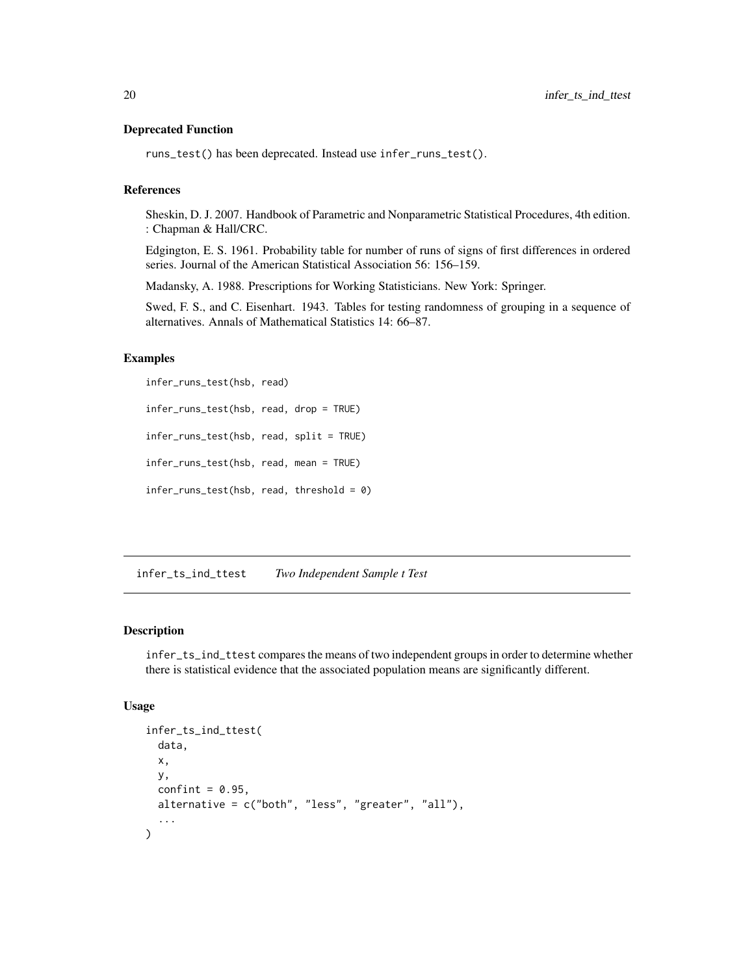#### <span id="page-19-0"></span>Deprecated Function

runs\_test() has been deprecated. Instead use infer\_runs\_test().

#### References

Sheskin, D. J. 2007. Handbook of Parametric and Nonparametric Statistical Procedures, 4th edition. : Chapman & Hall/CRC.

Edgington, E. S. 1961. Probability table for number of runs of signs of first differences in ordered series. Journal of the American Statistical Association 56: 156–159.

Madansky, A. 1988. Prescriptions for Working Statisticians. New York: Springer.

Swed, F. S., and C. Eisenhart. 1943. Tables for testing randomness of grouping in a sequence of alternatives. Annals of Mathematical Statistics 14: 66–87.

#### Examples

```
infer_runs_test(hsb, read)
infer_runs_test(hsb, read, drop = TRUE)
infer_runs_test(hsb, read, split = TRUE)
infer_runs_test(hsb, read, mean = TRUE)
infer_runs_test(hsb, read, threshold = 0)
```
infer\_ts\_ind\_ttest *Two Independent Sample t Test*

#### Description

infer\_ts\_ind\_ttest compares the means of two independent groups in order to determine whether there is statistical evidence that the associated population means are significantly different.

#### Usage

```
infer_ts_ind_ttest(
  data,
  x,
 y,
  confint = 0.95,
 alternative = c("both", "less", "greater", "all"),
  ...
)
```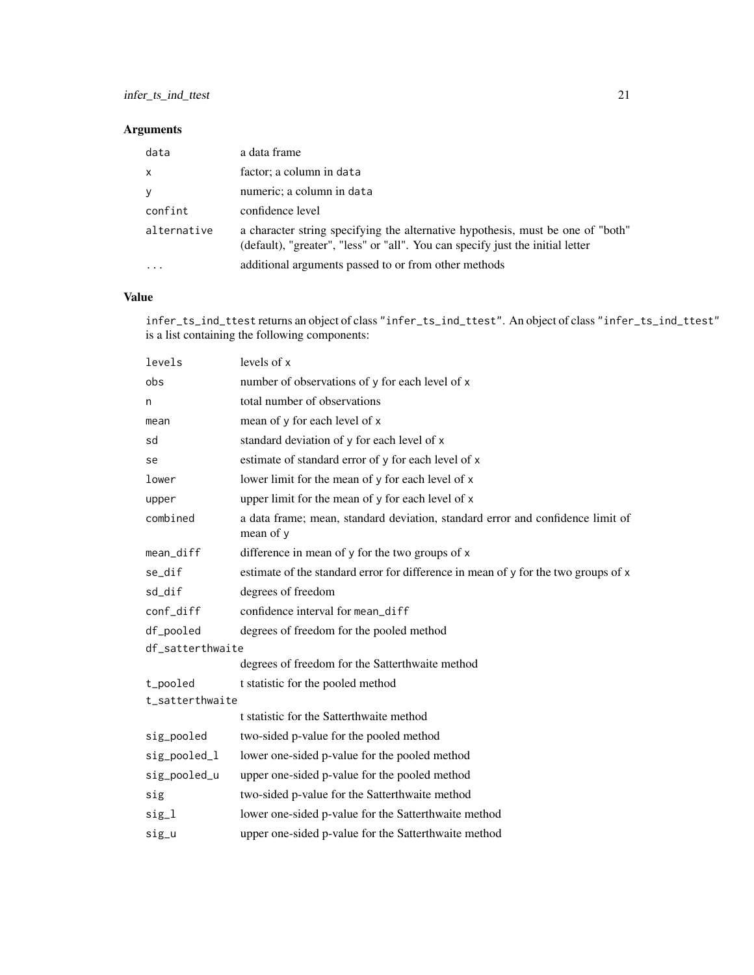#### Arguments

| data         | a data frame                                                                                                                                                      |
|--------------|-------------------------------------------------------------------------------------------------------------------------------------------------------------------|
| $\mathsf{x}$ | factor; a column in data                                                                                                                                          |
| V            | numeric; a column in data                                                                                                                                         |
| confint      | confidence level                                                                                                                                                  |
| alternative  | a character string specifying the alternative hypothesis, must be one of "both"<br>(default), "greater", "less" or "all". You can specify just the initial letter |
|              | additional arguments passed to or from other methods                                                                                                              |

#### Value

infer\_ts\_ind\_ttest returns an object of class "infer\_ts\_ind\_ttest". An object of class "infer\_ts\_ind\_ttest" is a list containing the following components:

| levels           | levels of x                                                                                 |
|------------------|---------------------------------------------------------------------------------------------|
| obs              | number of observations of y for each level of x                                             |
| n                | total number of observations                                                                |
| mean             | mean of y for each level of x                                                               |
| sd               | standard deviation of y for each level of x                                                 |
| se               | estimate of standard error of y for each level of x                                         |
| lower            | lower limit for the mean of y for each level of x                                           |
| upper            | upper limit for the mean of y for each level of x                                           |
| combined         | a data frame; mean, standard deviation, standard error and confidence limit of<br>mean of y |
| mean_diff        | difference in mean of y for the two groups of x                                             |
| se_dif           | estimate of the standard error for difference in mean of y for the two groups of x          |
| sd dif           | degrees of freedom                                                                          |
| conf_diff        | confidence interval for mean_diff                                                           |
| df_pooled        | degrees of freedom for the pooled method                                                    |
| df_satterthwaite |                                                                                             |
|                  | degrees of freedom for the Satterthwaite method                                             |
| t_pooled         | t statistic for the pooled method                                                           |
| t_satterthwaite  |                                                                                             |
|                  | t statistic for the Satterthwaite method                                                    |
| sig_pooled       | two-sided p-value for the pooled method                                                     |
| sig_pooled_l     | lower one-sided p-value for the pooled method                                               |
| sig_pooled_u     | upper one-sided p-value for the pooled method                                               |
| sig              | two-sided p-value for the Satterthwaite method                                              |
| sig_1            | lower one-sided p-value for the Satterthwaite method                                        |
| sig_u            | upper one-sided p-value for the Satterthwaite method                                        |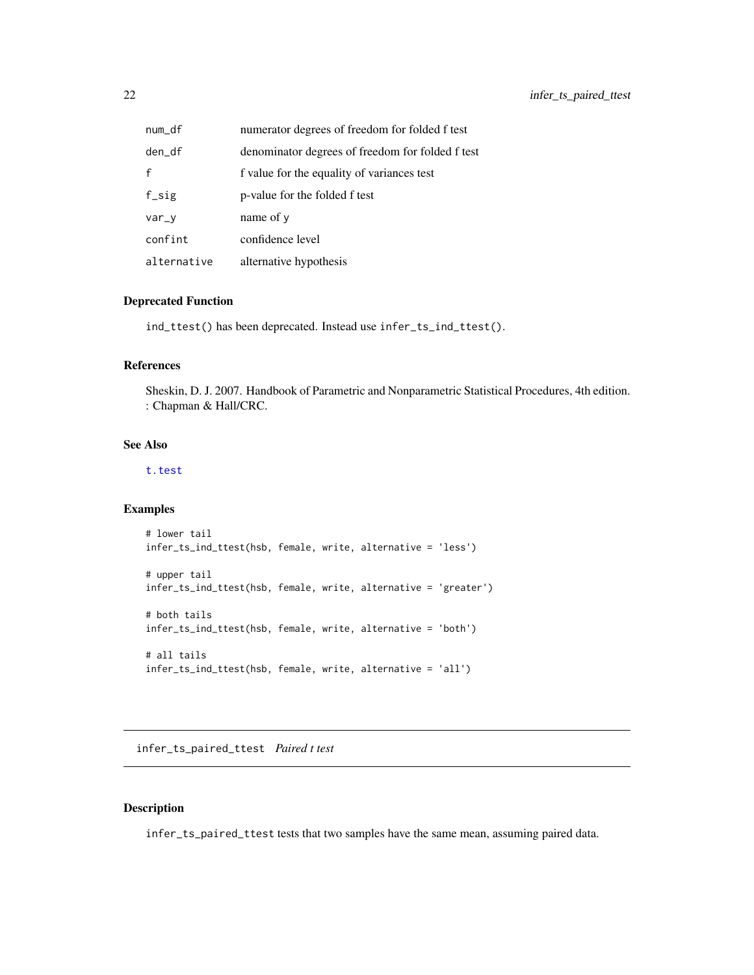<span id="page-21-0"></span>

| num_df      | numerator degrees of freedom for folded f test   |
|-------------|--------------------------------------------------|
| den_df      | denominator degrees of freedom for folded f test |
| f           | f value for the equality of variances test       |
| $f$ _sig    | p-value for the folded f test                    |
| var_v       | name of y                                        |
| confint     | confidence level                                 |
| alternative | alternative hypothesis                           |

#### Deprecated Function

ind\_ttest() has been deprecated. Instead use infer\_ts\_ind\_ttest().

#### References

Sheskin, D. J. 2007. Handbook of Parametric and Nonparametric Statistical Procedures, 4th edition. : Chapman & Hall/CRC.

#### See Also

[t.test](#page-0-0)

#### Examples

```
# lower tail
infer_ts_ind_ttest(hsb, female, write, alternative = 'less')
# upper tail
infer_ts_ind_ttest(hsb, female, write, alternative = 'greater')
# both tails
infer_ts_ind_ttest(hsb, female, write, alternative = 'both')
# all tails
infer_ts_ind_ttest(hsb, female, write, alternative = 'all')
```
infer\_ts\_paired\_ttest *Paired t test*

#### Description

infer\_ts\_paired\_ttest tests that two samples have the same mean, assuming paired data.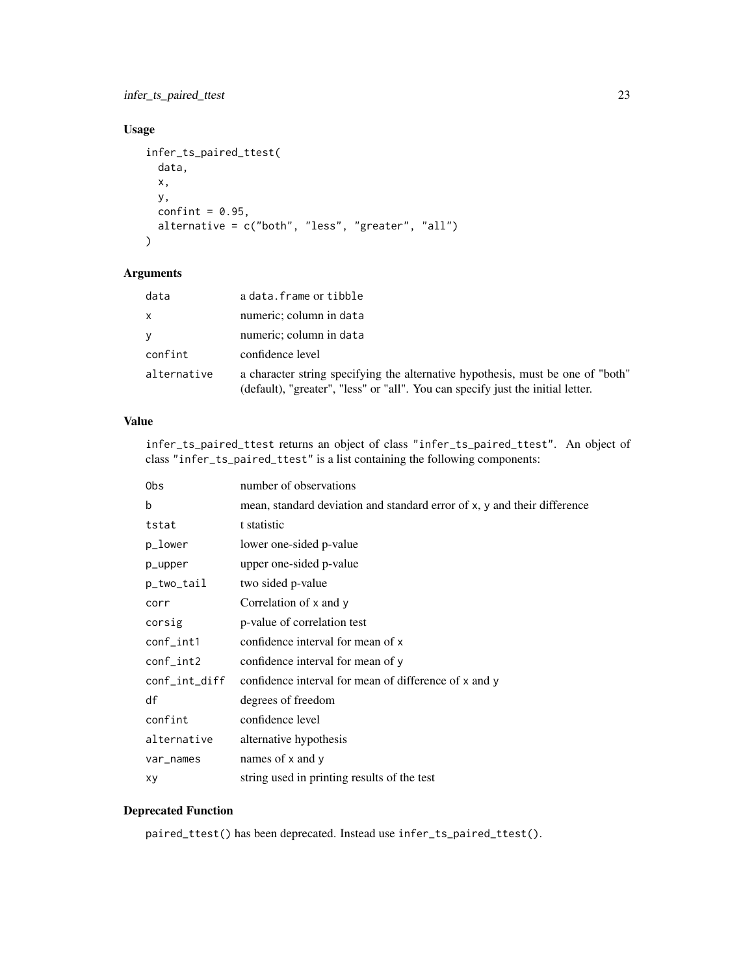infer\_ts\_paired\_ttest 23

#### Usage

```
infer_ts_paired_ttest(
  data,
  x,
  y,
  confint = 0.95,
  alternative = c("both", "less", "greater", "all")
\mathcal{L}
```
#### Arguments

| data        | a data. frame or tibble                                                                                                                                            |
|-------------|--------------------------------------------------------------------------------------------------------------------------------------------------------------------|
| X           | numeric; column in data                                                                                                                                            |
| V           | numeric; column in data                                                                                                                                            |
| confint     | confidence level                                                                                                                                                   |
| alternative | a character string specifying the alternative hypothesis, must be one of "both"<br>(default), "greater", "less" or "all". You can specify just the initial letter. |

#### Value

infer\_ts\_paired\_ttest returns an object of class "infer\_ts\_paired\_ttest". An object of class "infer\_ts\_paired\_ttest" is a list containing the following components:

| 0bs             | number of observations                                                   |
|-----------------|--------------------------------------------------------------------------|
| b               | mean, standard deviation and standard error of x, y and their difference |
| tstat           | t statistic                                                              |
| p_lower         | lower one-sided p-value                                                  |
| p_upper         | upper one-sided p-value                                                  |
| p_two_tail      | two sided p-value                                                        |
| corr            | Correlation of x and y                                                   |
| corsig          | p-value of correlation test                                              |
| $conf_$ int $1$ | confidence interval for mean of x                                        |
| $conf_$ int $2$ | confidence interval for mean of y                                        |
| conf_int_diff   | confidence interval for mean of difference of x and y                    |
| df              | degrees of freedom                                                       |
| confint         | confidence level                                                         |
| alternative     | alternative hypothesis                                                   |
| var_names       | names of x and y                                                         |
| хy              | string used in printing results of the test                              |
|                 |                                                                          |

#### Deprecated Function

paired\_ttest() has been deprecated. Instead use infer\_ts\_paired\_ttest().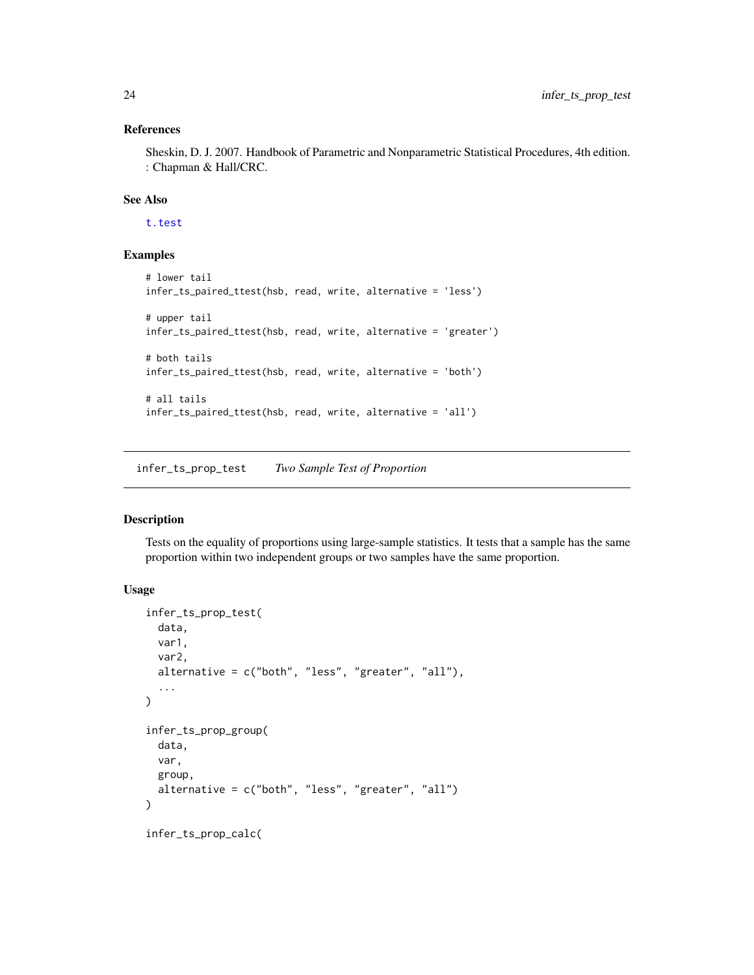#### References

Sheskin, D. J. 2007. Handbook of Parametric and Nonparametric Statistical Procedures, 4th edition. : Chapman & Hall/CRC.

#### See Also

[t.test](#page-0-0)

#### Examples

```
# lower tail
infer_ts_paired_ttest(hsb, read, write, alternative = 'less')
# upper tail
infer_ts_paired_ttest(hsb, read, write, alternative = 'greater')
# both tails
infer_ts_paired_ttest(hsb, read, write, alternative = 'both')
# all tails
infer_ts_paired_ttest(hsb, read, write, alternative = 'all')
```
infer\_ts\_prop\_test *Two Sample Test of Proportion*

#### Description

Tests on the equality of proportions using large-sample statistics. It tests that a sample has the same proportion within two independent groups or two samples have the same proportion.

#### Usage

```
infer_ts_prop_test(
 data,
 var1,
 var2,
 alternative = c("both", "less", "greater", "all"),
  ...
)
infer_ts_prop_group(
 data,
 var,
 group,
  alternative = c("both", "less", "greater", "all")
\lambdainfer_ts_prop_calc(
```
<span id="page-23-0"></span>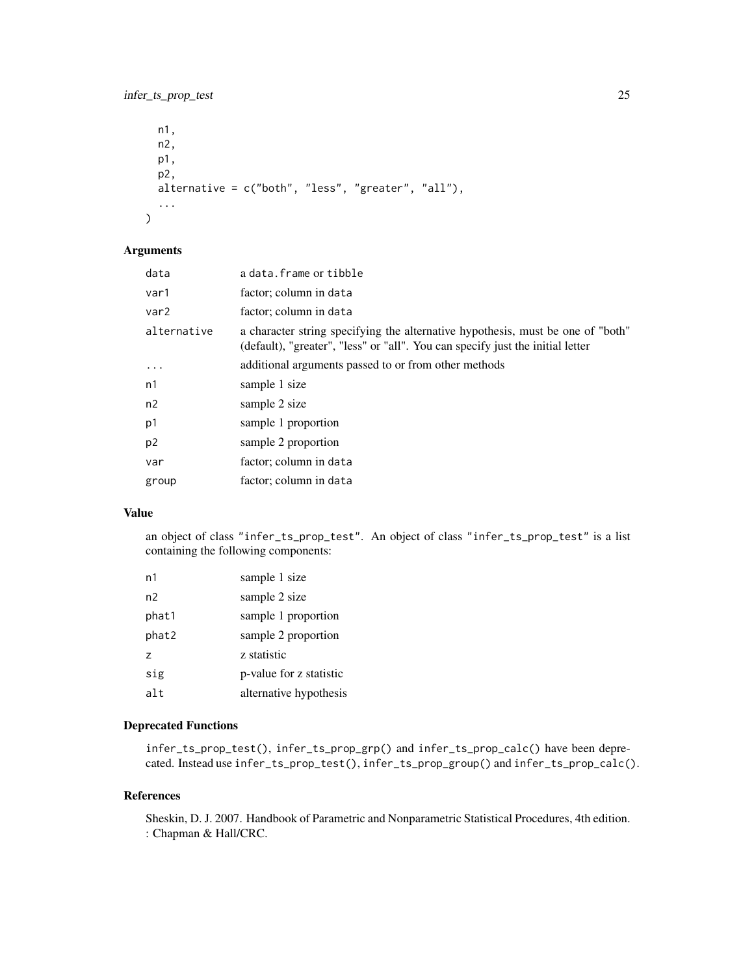#### infer\_ts\_prop\_test 25

```
n1,
 n2,
 p1,
 p2,
 alternative = c("both", "less", "greater", "all"),
  ...
\mathcal{L}
```
#### Arguments

| data             | a data. frame or tibble                                                                                                                                           |
|------------------|-------------------------------------------------------------------------------------------------------------------------------------------------------------------|
| var1             | factor; column in data                                                                                                                                            |
| var <sub>2</sub> | factor; column in data                                                                                                                                            |
| alternative      | a character string specifying the alternative hypothesis, must be one of "both"<br>(default), "greater", "less" or "all". You can specify just the initial letter |
| $\cdot$          | additional arguments passed to or from other methods                                                                                                              |
| n1               | sample 1 size                                                                                                                                                     |
| n2               | sample 2 size                                                                                                                                                     |
| p1               | sample 1 proportion                                                                                                                                               |
| p <sub>2</sub>   | sample 2 proportion                                                                                                                                               |
| var              | factor; column in data                                                                                                                                            |
| group            | factor; column in data                                                                                                                                            |
|                  |                                                                                                                                                                   |

#### Value

an object of class "infer\_ts\_prop\_test". An object of class "infer\_ts\_prop\_test" is a list containing the following components:

| n1    | sample 1 size           |
|-------|-------------------------|
| n2    | sample 2 size           |
| phat1 | sample 1 proportion     |
| phat2 | sample 2 proportion     |
| z     | z statistic             |
| sig   | p-value for z statistic |
| alt   | alternative hypothesis  |

#### Deprecated Functions

infer\_ts\_prop\_test(), infer\_ts\_prop\_grp() and infer\_ts\_prop\_calc() have been deprecated. Instead use infer\_ts\_prop\_test(), infer\_ts\_prop\_group() and infer\_ts\_prop\_calc().

#### References

Sheskin, D. J. 2007. Handbook of Parametric and Nonparametric Statistical Procedures, 4th edition. : Chapman & Hall/CRC.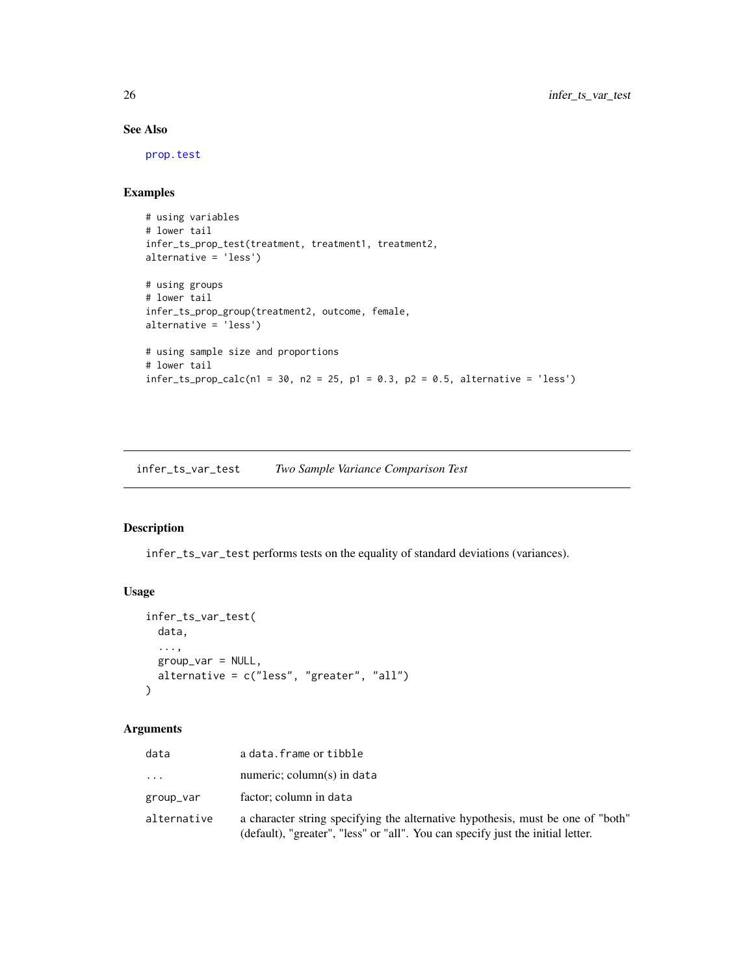#### See Also

[prop.test](#page-0-0)

#### Examples

```
# using variables
# lower tail
infer_ts_prop_test(treatment, treatment1, treatment2,
alternative = 'less')
# using groups
# lower tail
infer_ts_prop_group(treatment2, outcome, female,
alternative = 'less')
# using sample size and proportions
# lower tail
infer\_ts\_prop\_calc(n1 = 30, n2 = 25, p1 = 0.3, p2 = 0.5, alternative = 'less')
```
infer\_ts\_var\_test *Two Sample Variance Comparison Test*

#### Description

infer\_ts\_var\_test performs tests on the equality of standard deviations (variances).

#### Usage

```
infer_ts_var_test(
 data,
  ...,
 group_var = NULL,
 alternative = c("less", "greater", "all")
\mathcal{L}
```
#### Arguments

| data        | a data. frame or tibble                                                                                                                                            |
|-------------|--------------------------------------------------------------------------------------------------------------------------------------------------------------------|
| .           | numeric; column(s) in data                                                                                                                                         |
| group_var   | factor; column in data                                                                                                                                             |
| alternative | a character string specifying the alternative hypothesis, must be one of "both"<br>(default), "greater", "less" or "all". You can specify just the initial letter. |

<span id="page-25-0"></span>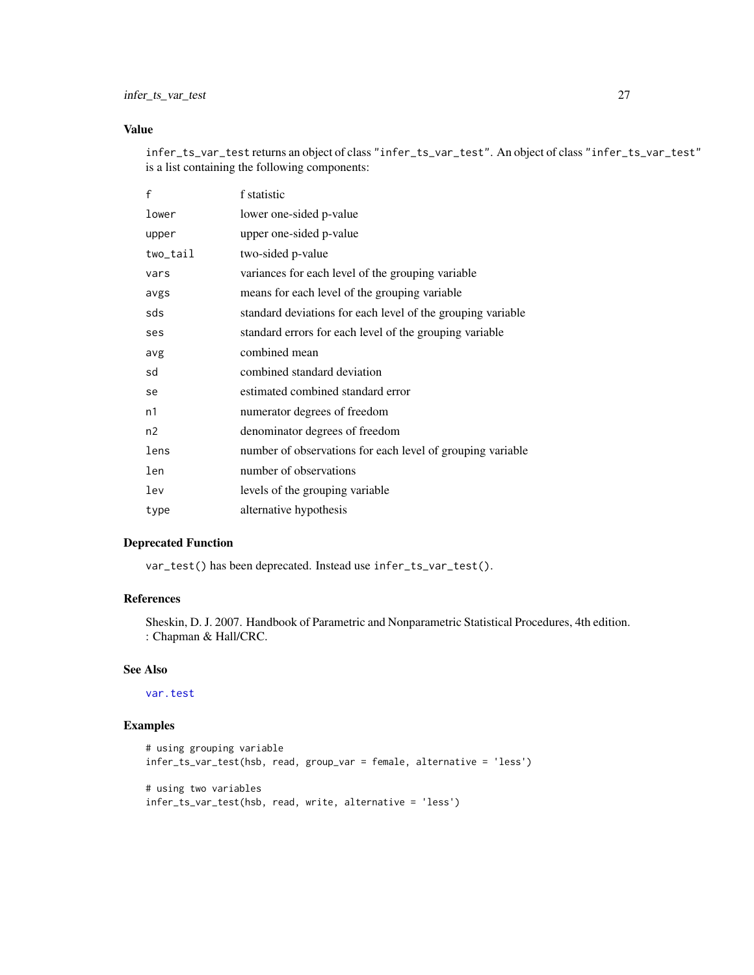#### <span id="page-26-0"></span>Value

infer\_ts\_var\_test returns an object of class "infer\_ts\_var\_test". An object of class "infer\_ts\_var\_test" is a list containing the following components:

| f        | f statistic                                                 |
|----------|-------------------------------------------------------------|
| lower    | lower one-sided p-value                                     |
| upper    | upper one-sided p-value                                     |
| two_tail | two-sided p-value                                           |
| vars     | variances for each level of the grouping variable           |
| avgs     | means for each level of the grouping variable               |
| sds      | standard deviations for each level of the grouping variable |
| ses      | standard errors for each level of the grouping variable     |
| avg      | combined mean                                               |
| sd       | combined standard deviation                                 |
| se       | estimated combined standard error                           |
| n1       | numerator degrees of freedom                                |
| n2       | denominator degrees of freedom                              |
| lens     | number of observations for each level of grouping variable  |
| len      | number of observations                                      |
| lev      | levels of the grouping variable                             |
| type     | alternative hypothesis                                      |

#### Deprecated Function

var\_test() has been deprecated. Instead use infer\_ts\_var\_test().

#### References

Sheskin, D. J. 2007. Handbook of Parametric and Nonparametric Statistical Procedures, 4th edition. : Chapman & Hall/CRC.

#### See Also

[var.test](#page-0-0)

#### Examples

```
# using grouping variable
infer_ts_var_test(hsb, read, group_var = female, alternative = 'less')
# using two variables
infer_ts_var_test(hsb, read, write, alternative = 'less')
```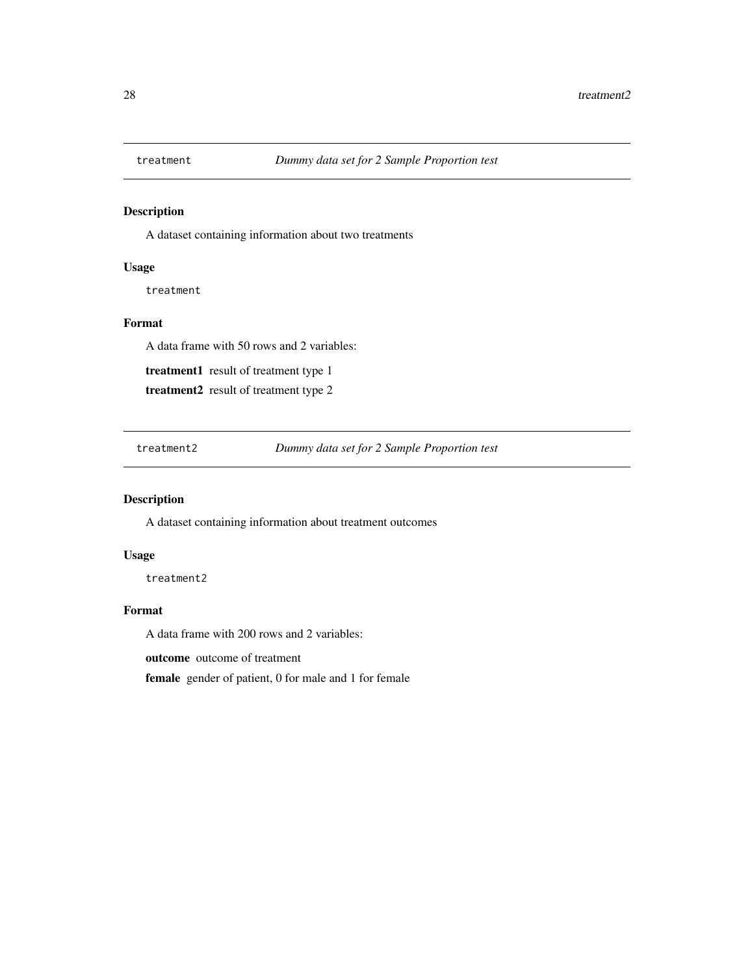<span id="page-27-0"></span>

#### Description

A dataset containing information about two treatments

#### Usage

treatment

#### Format

A data frame with 50 rows and 2 variables:

treatment1 result of treatment type 1

treatment2 result of treatment type 2

treatment2 *Dummy data set for 2 Sample Proportion test*

#### Description

A dataset containing information about treatment outcomes

#### Usage

treatment2

#### Format

A data frame with 200 rows and 2 variables:

outcome outcome of treatment

female gender of patient, 0 for male and 1 for female